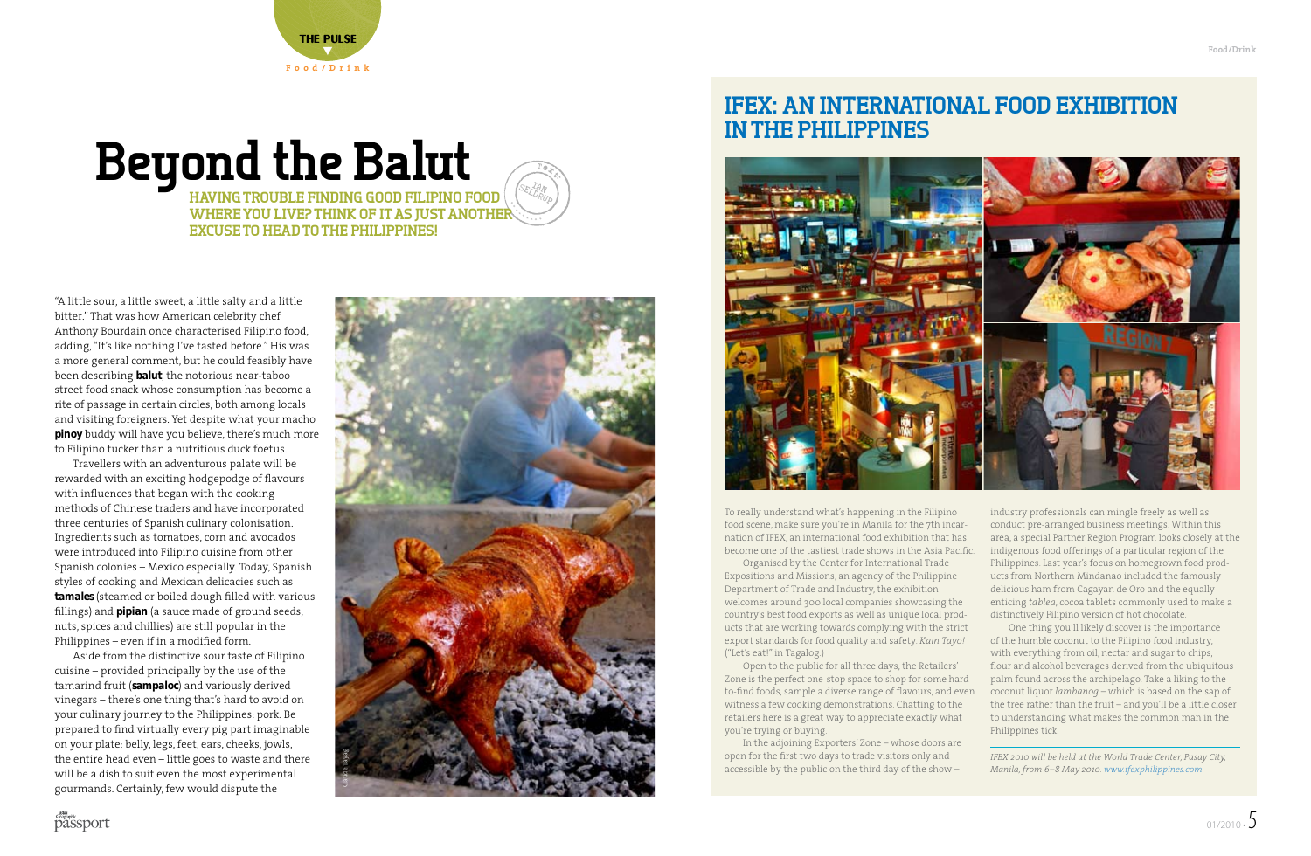

# **Beyond the Balut**

**WHERE YOU LIVE? THINK OF IT AS JUST ANOTHER WHERE YOU LIVE? THINK OF IT AS JUST ANOTHER**  $\searrow$ SEL<sup>IAN</sup><br>P<sup>IDRUP</sup> **Having trouble finding good Filipino food excuse to head to the Philippines!**

"A little sour, a little sweet, a little salty and a little bitter." That was how American celebrity chef Anthony Bourdain once characterised Filipino food, adding, "It's like nothing I've tasted before." His was a more general comment, but he could feasibly have been describing *balut*, the notorious near-taboo street food snack whose consumption has become a rite of passage in certain circles, both among locals and visiting foreigners. Yet despite what your macho *pinoy* buddy will have you believe, there's much more to Filipino tucker than a nutritious duck foetus.

Travellers with an adventurous palate will be rewarded with an exciting hodgepodge of flavours with influences that began with the cooking methods of Chinese traders and have incorporated three centuries of Spanish culinary colonisation. Ingredients such as tomatoes, corn and avocados were introduced into Filipino cuisine from other Spanish colonies – Mexico especially. Today, Spanish styles of cooking and Mexican delicacies such as *tamales* (steamed or boiled dough filled with various fillings) and *pipian* (a sauce made of ground seeds, nuts, spices and chillies) are still popular in the Philippines – even if in a modified form.

Aside from the distinctive sour taste of Filipino cuisine – provided principally by the use of the tamarind fruit (*sampaloc*) and variously derived vinegars – there's one thing that's hard to avoid on your culinary journey to the Philippines: pork. Be prepared to find virtually every pig part imaginable on your plate: belly, legs, feet, ears, cheeks, jowls, the entire head even – little goes to waste and there will be a dish to suit even the most experimental gourmands. Certainly, few would dispute the



 $\mathbb{Z}$ 

## **IFEX: AN International Food Exhibition INTHE Philippines**



To really understand what's happening in the Filipino food scene, make sure you're in Manila for the 7th incarnation of IFEX, an international food exhibition that has become one of the tastiest trade shows in the Asia Pacific.

Organised by the Center for International Trade Expositions and Missions, an agency of the Philippine Department of Trade and Industry, the exhibition welcomes around 300 local companies showcasing the country's best food exports as well as unique local products that are working towards complying with the strict export standards for food quality and safety. *Kain Tayo!* ("Let's eat!" in Tagalog.)

Open to the public for all three days, the Retailers' Zone is the perfect one-stop space to shop for some hardto-find foods, sample a diverse range of flavours, and even witness a few cooking demonstrations. Chatting to the retailers here is a great way to appreciate exactly what you're trying or buying.

In the adjoining Exporters' Zone – whose doors are open for the first two days to trade visitors only and accessible by the public on the third day of the show –

industry professionals can mingle freely as well as conduct pre-arranged business meetings. Within this area, a special Partner Region Program looks closely at the indigenous food offerings of a particular region of the Philippines. Last year's focus on homegrown food products from Northern Mindanao included the famously delicious ham from Cagayan de Oro and the equally enticing *tablea*, cocoa tablets commonly used to make a distinctively Filipino version of hot chocolate.

One thing you'll likely discover is the importance of the humble coconut to the Filipino food industry, with everything from oil, nectar and sugar to chips, flour and alcohol beverages derived from the ubiquitous palm found across the archipelago. Take a liking to the coconut liquor *lambanog* – which is based on the sap of the tree rather than the fruit – and you'll be a little closer to understanding what makes the common man in the Philippines tick.

*IFEX 2010 will be held at the World Trade Center, Pasay City, Manila, from 6–8 May 2010. www.ifexphilippines.com*